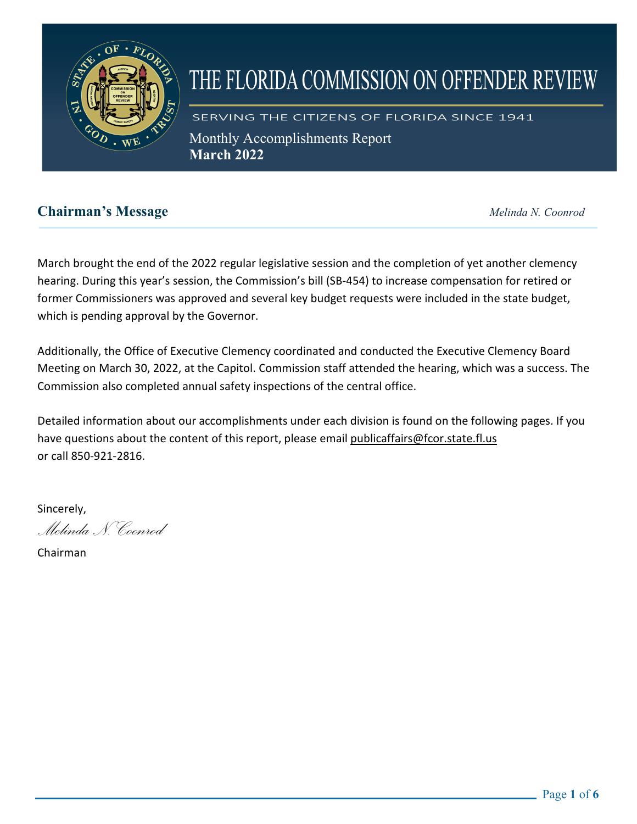

# THE FLORIDA COMMISSION ON OFFENDER REVIEW

SERVING THE CITIZENS OF FLORIDA SINCE 1941 Monthly Accomplishments Report **March 2022** 

# **Chairman's Message** *Melinda N. Coonrod*

March brought the end of the 2022 regular legislative session and the completion of yet another clemency hearing. During this year's session, the Commission's bill (SB-454) to increase compensation for retired or former Commissioners was approved and several key budget requests were included in the state budget, which is pending approval by the Governor.

Additionally, the Office of Executive Clemency coordinated and conducted the Executive Clemency Board Meeting on March 30, 2022, at the Capitol. Commission staff attended the hearing, which was a success. The Commission also completed annual safety inspections of the central office.

Detailed information about our accomplishments under each division is found on the following pages. If you have questions about the content of this report, please email publicaffairs@fcor.state.fl.us or call 850-921-2816.

Sincerely,

*Melinda N. Coonrod*

Chairman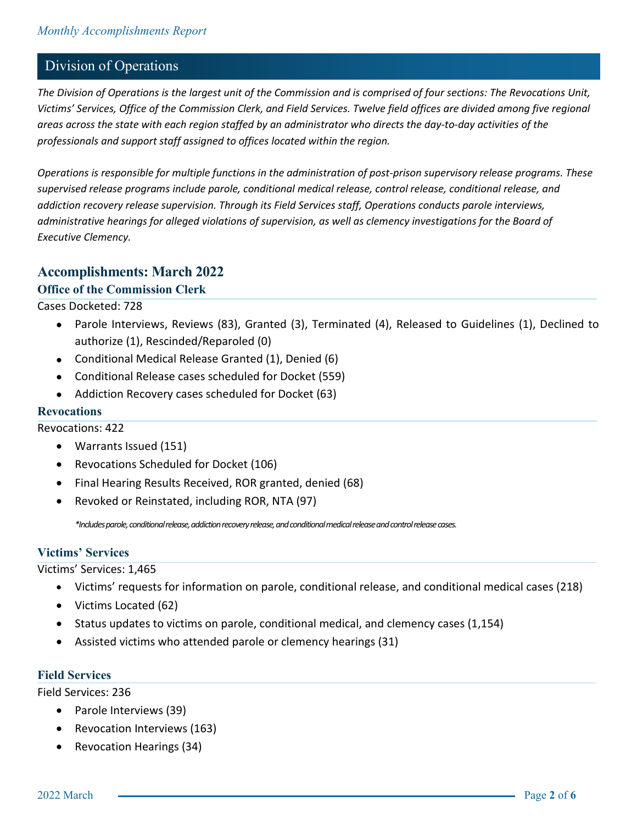### Division of Operations

*The Division of Operations is the largest unit of the Commission and is comprised of four sections: The Revocations Unit, Victims' Services, Office of the Commission Clerk, and Field Services. Twelve field offices are divided among five regional areas across the state with each region staffed by an administrator who directs the day-to-day activities of the professionals and support staff assigned to offices located within the region.*

*Operations is responsible for multiple functions in the administration of post-prison supervisory release programs. These supervised release programs include parole, conditional medical release, control release, conditional release, and addiction recovery release supervision. Through its Field Services staff, Operations conducts parole interviews, administrative hearings for alleged violations of supervision, as well as clemency investigations for the Board of Executive Clemency.*

#### **Accomplishments: March 2022**

#### **Office of the Commission Clerk**

Cases Docketed: 728

- Parole Interviews, Reviews (83), Granted (3), Terminated (4), Released to Guidelines (1), Declined to authorize (1), Rescinded/Reparoled (0)
- Conditional Medical Release Granted (1), Denied (6)
- Conditional Release cases scheduled for Docket (559)
- Addiction Recovery cases scheduled for Docket (63)

#### **Revocations**

Revocations: 422

- Warrants Issued (151)
- Revocations Scheduled for Docket (106)
- Final Hearing Results Received, ROR granted, denied (68)
- Revoked or Reinstated, including ROR, NTA (97)

*\*Includes parole, conditional release, addiction recovery release, and conditional medical release and control release cases.*

#### **Victims' Services**

Victims' Services: 1,465

- Victims' requests for information on parole, conditional release, and conditional medical cases (218)
- Victims Located (62)
- Status updates to victims on parole, conditional medical, and clemency cases (1,154)
- Assisted victims who attended parole or clemency hearings (31)

#### **Field Services**

Field Services: 236

- Parole Interviews (39)
- Revocation Interviews (163)
- Revocation Hearings (34)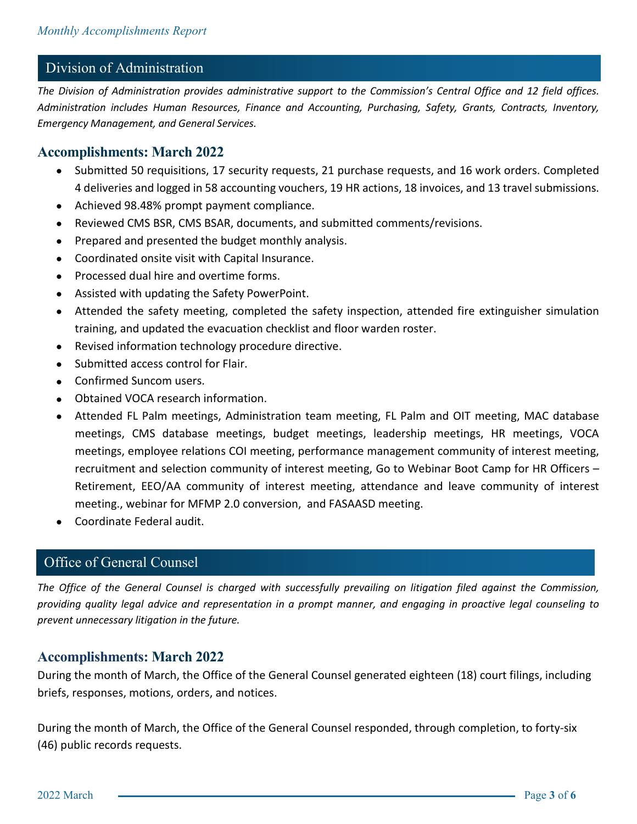# Division of Administration

*The Division of Administration provides administrative support to the Commission's Central Office and 12 field offices. Administration includes Human Resources, Finance and Accounting, Purchasing, Safety, Grants, Contracts, Inventory, Emergency Management, and General Services.* 

#### **Accomplishments: March 2022**

- Submitted 50 requisitions, 17 security requests, 21 purchase requests, and 16 work orders. Completed 4 deliveries and logged in 58 accounting vouchers, 19 HR actions, 18 invoices, and 13 travel submissions.
- Achieved 98.48% prompt payment compliance.
- Reviewed CMS BSR, CMS BSAR, documents, and submitted comments/revisions.
- Prepared and presented the budget monthly analysis.
- Coordinated onsite visit with Capital Insurance.
- Processed dual hire and overtime forms.
- Assisted with updating the Safety PowerPoint.
- Attended the safety meeting, completed the safety inspection, attended fire extinguisher simulation training, and updated the evacuation checklist and floor warden roster.
- Revised information technology procedure directive.
- Submitted access control for Flair.
- Confirmed Suncom users.
- Obtained VOCA research information.
- Attended FL Palm meetings, Administration team meeting, FL Palm and OIT meeting, MAC database meetings, CMS database meetings, budget meetings, leadership meetings, HR meetings, VOCA meetings, employee relations COI meeting, performance management community of interest meeting, recruitment and selection community of interest meeting, Go to Webinar Boot Camp for HR Officers – Retirement, EEO/AA community of interest meeting, attendance and leave community of interest meeting., webinar for MFMP 2.0 conversion, and FASAASD meeting.
- Coordinate Federal audit.

## Office of General Counsel

*The Office of the General Counsel is charged with successfully prevailing on litigation filed against the Commission, providing quality legal advice and representation in a prompt manner, and engaging in proactive legal counseling to prevent unnecessary litigation in the future.*

#### **Accomplishments: March 2022**

During the month of March, the Office of the General Counsel generated eighteen (18) court filings, including briefs, responses, motions, orders, and notices.

During the month of March, the Office of the General Counsel responded, through completion, to forty-six (46) public records requests.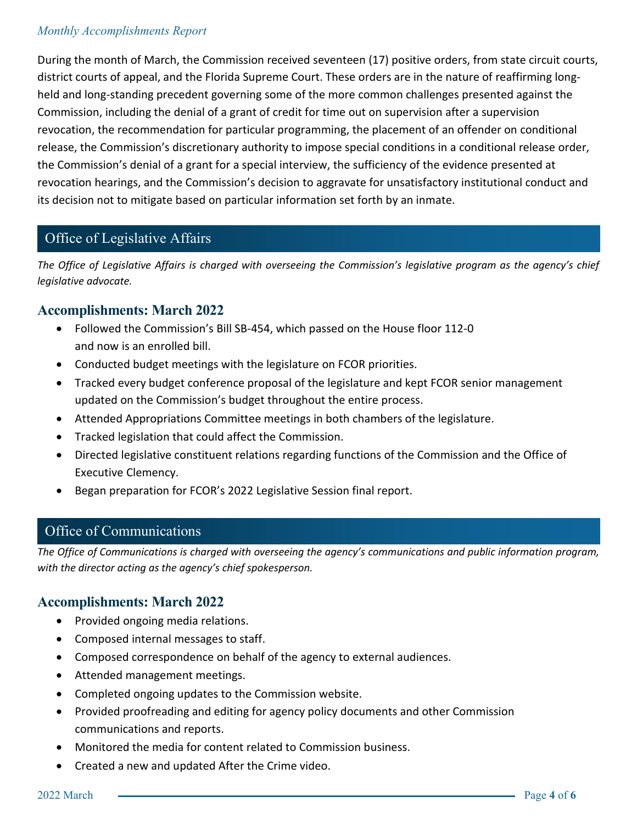#### *Monthly Accomplishments Report*

During the month of March, the Commission received seventeen (17) positive orders, from state circuit courts, district courts of appeal, and the Florida Supreme Court. These orders are in the nature of reaffirming longheld and long-standing precedent governing some of the more common challenges presented against the Commission, including the denial of a grant of credit for time out on supervision after a supervision revocation, the recommendation for particular programming, the placement of an offender on conditional release, the Commission's discretionary authority to impose special conditions in a conditional release order, the Commission's denial of a grant for a special interview, the sufficiency of the evidence presented at revocation hearings, and the Commission's decision to aggravate for unsatisfactory institutional conduct and its decision not to mitigate based on particular information set forth by an inmate.

# Office of Legislative Affairs

*The Office of Legislative Affairs is charged with overseeing the Commission's legislative program as the agency's chief legislative advocate.* 

### **Accomplishments: March 2022**

- Followed the Commission's Bill SB-454, which passed on the House floor 112-0 and now is an enrolled bill.
- Conducted budget meetings with the legislature on FCOR priorities.
- Tracked every budget conference proposal of the legislature and kept FCOR senior management updated on the Commission's budget throughout the entire process.
- Attended Appropriations Committee meetings in both chambers of the legislature.
- Tracked legislation that could affect the Commission.
- Directed legislative constituent relations regarding functions of the Commission and the Office of Executive Clemency.
- Began preparation for FCOR's 2022 Legislative Session final report.

# **The Office of Communications is charged with overseeing the agency's communications and public informations and public informations and public informations and public informations and public information program.**

*The Office of Communications is charged with overseeing the agency's communications and public information program, with the director acting as the agency's chief spokesperson.*

#### **Accomplishments: March 2022**

- Provided ongoing media relations.
- Composed internal messages to staff.
- Composed correspondence on behalf of the agency to external audiences.
- Attended management meetings.
- Completed ongoing updates to the Commission website.
- Provided proofreading and editing for agency policy documents and other Commission communications and reports.
- Monitored the media for content related to Commission business.
- Created a new and updated After the Crime video.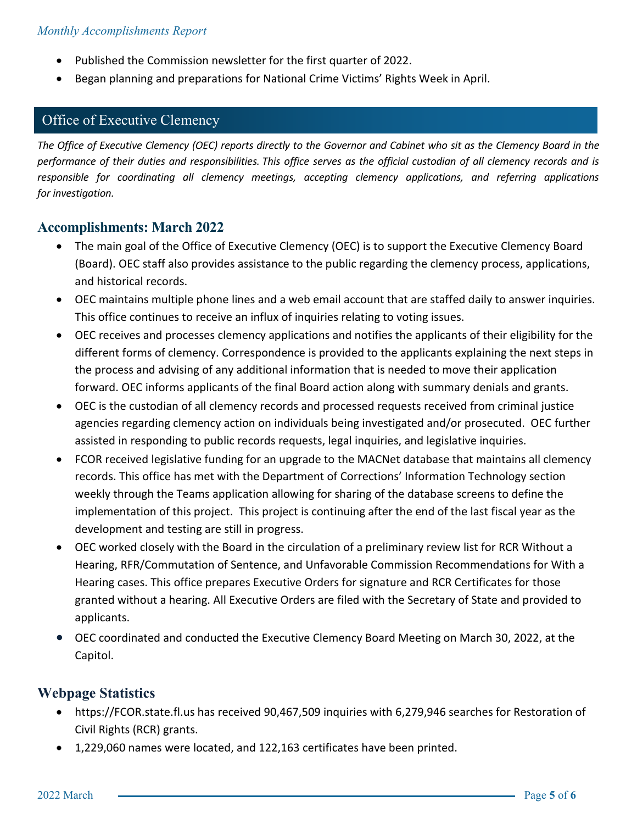- Published the Commission newsletter for the first quarter of 2022.
- Began planning and preparations for National Crime Victims' Rights Week in April.

# Office of Executive Clemency

*The Office of Executive Clemency (OEC) reports directly to the Governor and Cabinet who sit as the Clemency Board in the performance of their duties and responsibilities. This office serves as the official custodian of all clemency records and is responsible for coordinating all clemency meetings, accepting clemency applications, and referring applications for investigation.*

#### **Accomplishments: March 2022**

- The main goal of the Office of Executive Clemency (OEC) is to support the Executive Clemency Board (Board). OEC staff also provides assistance to the public regarding the clemency process, applications, and historical records.
- OEC maintains multiple phone lines and a web email account that are staffed daily to answer inquiries. This office continues to receive an influx of inquiries relating to voting issues.
- OEC receives and processes clemency applications and notifies the applicants of their eligibility for the different forms of clemency. Correspondence is provided to the applicants explaining the next steps in the process and advising of any additional information that is needed to move their application forward. OEC informs applicants of the final Board action along with summary denials and grants.
- OEC is the custodian of all clemency records and processed requests received from criminal justice agencies regarding clemency action on individuals being investigated and/or prosecuted. OEC further assisted in responding to public records requests, legal inquiries, and legislative inquiries.
- FCOR received legislative funding for an upgrade to the MACNet database that maintains all clemency records. This office has met with the Department of Corrections' Information Technology section weekly through the Teams application allowing for sharing of the database screens to define the implementation of this project. This project is continuing after the end of the last fiscal year as the development and testing are still in progress.
- OEC worked closely with the Board in the circulation of a preliminary review list for RCR Without a Hearing, RFR/Commutation of Sentence, and Unfavorable Commission Recommendations for With a Hearing cases. This office prepares Executive Orders for signature and RCR Certificates for those granted without a hearing. All Executive Orders are filed with the Secretary of State and provided to applicants.
- OEC coordinated and conducted the Executive Clemency Board Meeting on March 30, 2022, at the Capitol.

## **Webpage Statistics**

- https://FCOR.state.fl.us has received 90,467,509 inquiries with 6,279,946 searches for Restoration of Civil Rights (RCR) grants.
- 1,229,060 names were located, and 122,163 certificates have been printed.